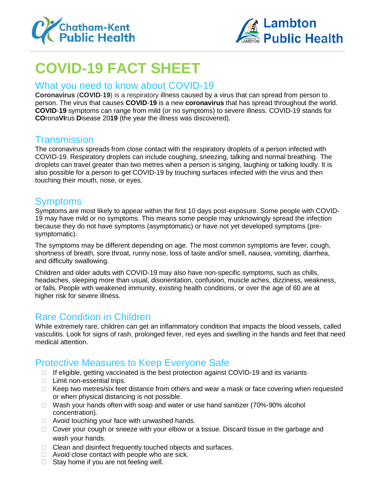



# **COVID-19 FACT SHEET**

#### What you need to know about COVID-19

**Coronavirus** (**COVID**-**19**) is a respiratory illness caused by a virus that can spread from person to person. The virus that causes **COVID**-**19** is a new **coronavirus** that has spread throughout the world. **COVID**-**19** symptoms can range from mild (or no symptoms) to severe illness. COVID-19 stands for **CO**rona**VI**rus **D**isease 20**19** (the year the illness was discovered).

# **Transmission**

The coronavirus spreads from close contact with the respiratory droplets of a person infected with COVID-19. Respiratory droplets can include coughing, sneezing, talking and normal breathing. The droplets can travel greater than two metres when a person is singing, laughing or talking loudly. It is also possible for a person to get COVID-19 by touching surfaces infected with the virus and then touching their mouth, nose, or eyes.

## Symptoms

Symptoms are most likely to appear within the first 10 days post-exposure. Some people with COVID-19 may have mild or no symptoms. This means some people may unknowingly spread the infection because they do not have symptoms (asymptomatic) or have not yet developed symptoms (presymptomatic).

The symptoms may be different depending on age. The most common symptoms are fever, cough, shortness of breath, sore throat, runny nose, loss of taste and/or smell, nausea, vomiting, diarrhea, and difficulty swallowing.

Children and older adults with COVID-19 may also have non-specific symptoms, such as chills, headaches, sleeping more than usual, disorientation, confusion, muscle aches, dizziness, weakness, or falls. People with weakened immunity, existing health conditions, or over the age of 60 are at higher risk for severe illness.

## Rare Condition in Children

While extremely rare, children can get an inflammatory condition that impacts the blood vessels, called vasculitis. Look for signs of rash, prolonged fever, red eyes and swelling in the hands and feet that need medical attention.

# Protective Measures to Keep Everyone Safe

- $\Box$  If eligible, getting vaccinated is the best protection against COVID-19 and its variants
- □ Limit non-essential trips.
- $\Box$  Keep two metres/six feet distance from others and wear a mask or face covering when requested or when physical distancing is not possible.
- $\Box$  Wash your hands often with soap and water or use hand sanitizer (70%-90% alcohol concentration).
- $\Box$  Avoid touching your face with unwashed hands.
- □ Cover your cough or sneeze with your elbow or a tissue. Discard tissue in the garbage and wash your hands.
- □ Clean and disinfect frequently touched objects and surfaces.
- $\Box$  Avoid close contact with people who are sick.
- $\Box$  Stay home if you are not feeling well.